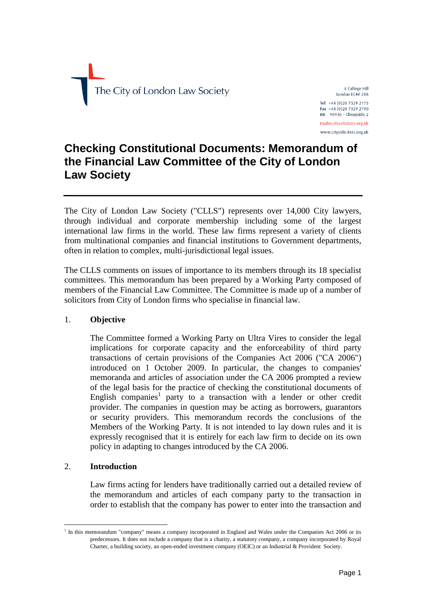

4 College Hill London EC4R 2RB Tel +44 (0)20 7329 2173 Fax +44 (0)20 7329 2190  $DX$  98936 - Cheapside 2 mail@citysolicitors.org.uk www.citysolicitors.org.uk

# **Checking Constitutional Documents: Memorandum of the Financial Law Committee of the City of London Law Society**

The City of London Law Society ("CLLS") represents over 14,000 City lawyers, through individual and corporate membership including some of the largest international law firms in the world. These law firms represent a variety of clients from multinational companies and financial institutions to Government departments, often in relation to complex, multi-jurisdictional legal issues.

The CLLS comments on issues of importance to its members through its 18 specialist committees. This memorandum has been prepared by a Working Party composed of members of the Financial Law Committee. The Committee is made up of a number of solicitors from City of London firms who specialise in financial law.

# 1. **Objective**

The Committee formed a Working Party on Ultra Vires to consider the legal implications for corporate capacity and the enforceability of third party transactions of certain provisions of the Companies Act 2006 ("CA 2006") introduced on 1 October 2009. In particular, the changes to companies' memoranda and articles of association under the CA 2006 prompted a review of the legal basis for the practice of checking the constitutional documents of English companies<sup>1</sup> party to a transaction with a lender or other credit provider. The companies in question may be acting as borrowers, guarantors or security providers. This memorandum records the conclusions of the Members of the Working Party. It is not intended to lay down rules and it is expressly recognised that it is entirely for each law firm to decide on its own policy in adapting to changes introduced by the CA 2006.

#### 2. **Introduction**

Law firms acting for lenders have traditionally carried out a detailed review of the memorandum and articles of each company party to the transaction in order to establish that the company has power to enter into the transaction and

<sup>1</sup> <sup>1</sup> In this memorandum "company" means a company incorporated in England and Wales under the Companies Act 2006 or its predecessors. It does not include a company that is a charity, a statutory company, a company incorporated by Royal Charter, a building society, an open-ended investment company (OEIC) or an Industrial & Provident Society.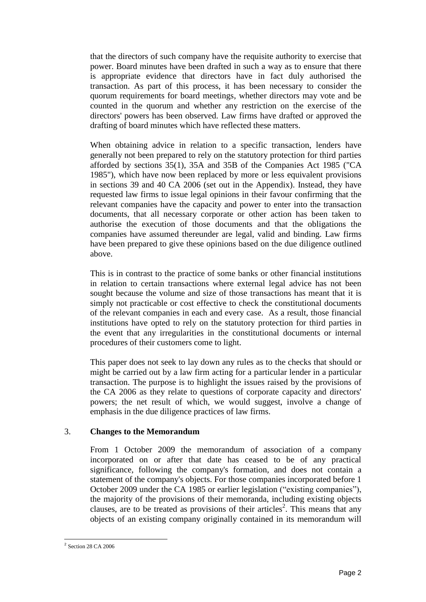that the directors of such company have the requisite authority to exercise that power. Board minutes have been drafted in such a way as to ensure that there is appropriate evidence that directors have in fact duly authorised the transaction. As part of this process, it has been necessary to consider the quorum requirements for board meetings, whether directors may vote and be counted in the quorum and whether any restriction on the exercise of the directors' powers has been observed. Law firms have drafted or approved the drafting of board minutes which have reflected these matters.

When obtaining advice in relation to a specific transaction, lenders have generally not been prepared to rely on the statutory protection for third parties afforded by sections 35(1), 35A and 35B of the Companies Act 1985 ("CA 1985"), which have now been replaced by more or less equivalent provisions in sections 39 and 40 CA 2006 (set out in the Appendix). Instead, they have requested law firms to issue legal opinions in their favour confirming that the relevant companies have the capacity and power to enter into the transaction documents, that all necessary corporate or other action has been taken to authorise the execution of those documents and that the obligations the companies have assumed thereunder are legal, valid and binding. Law firms have been prepared to give these opinions based on the due diligence outlined above.

This is in contrast to the practice of some banks or other financial institutions in relation to certain transactions where external legal advice has not been sought because the volume and size of those transactions has meant that it is simply not practicable or cost effective to check the constitutional documents of the relevant companies in each and every case. As a result, those financial institutions have opted to rely on the statutory protection for third parties in the event that any irregularities in the constitutional documents or internal procedures of their customers come to light.

This paper does not seek to lay down any rules as to the checks that should or might be carried out by a law firm acting for a particular lender in a particular transaction. The purpose is to highlight the issues raised by the provisions of the CA 2006 as they relate to questions of corporate capacity and directors' powers; the net result of which, we would suggest, involve a change of emphasis in the due diligence practices of law firms.

# 3. **Changes to the Memorandum**

From 1 October 2009 the memorandum of association of a company incorporated on or after that date has ceased to be of any practical significance, following the company's formation, and does not contain a statement of the company's objects. For those companies incorporated before 1 October 2009 under the CA 1985 or earlier legislation ("existing companies"), the majority of the provisions of their memoranda, including existing objects clauses, are to be treated as provisions of their articles<sup>2</sup>. This means that any objects of an existing company originally contained in its memorandum will

 2 Section 28 CA 2006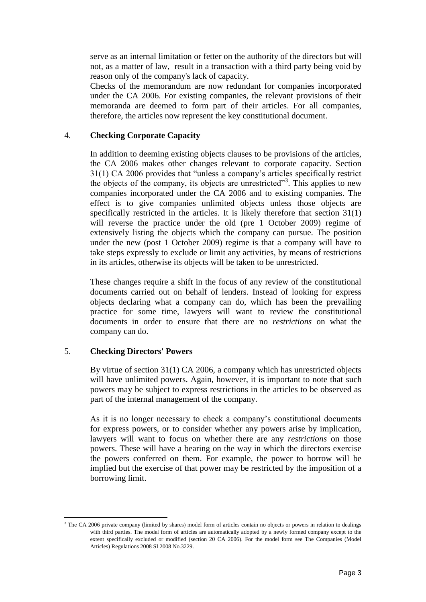serve as an internal limitation or fetter on the authority of the directors but will not, as a matter of law, result in a transaction with a third party being void by reason only of the company's lack of capacity.

Checks of the memorandum are now redundant for companies incorporated under the CA 2006. For existing companies, the relevant provisions of their memoranda are deemed to form part of their articles. For all companies, therefore, the articles now represent the key constitutional document.

#### 4. **Checking Corporate Capacity**

In addition to deeming existing objects clauses to be provisions of the articles, the CA 2006 makes other changes relevant to corporate capacity. Section 31(1) CA 2006 provides that "unless a company's articles specifically restrict the objects of the company, its objects are unrestricted"<sup>3</sup>. This applies to new companies incorporated under the CA 2006 and to existing companies. The effect is to give companies unlimited objects unless those objects are specifically restricted in the articles. It is likely therefore that section 31(1) will reverse the practice under the old (pre 1 October 2009) regime of extensively listing the objects which the company can pursue. The position under the new (post 1 October 2009) regime is that a company will have to take steps expressly to exclude or limit any activities, by means of restrictions in its articles, otherwise its objects will be taken to be unrestricted.

These changes require a shift in the focus of any review of the constitutional documents carried out on behalf of lenders. Instead of looking for express objects declaring what a company can do, which has been the prevailing practice for some time, lawyers will want to review the constitutional documents in order to ensure that there are no *restrictions* on what the company can do.

# 5. **Checking Directors' Powers**

By virtue of section 31(1) CA 2006, a company which has unrestricted objects will have unlimited powers. Again, however, it is important to note that such powers may be subject to express restrictions in the articles to be observed as part of the internal management of the company.

As it is no longer necessary to check a company's constitutional documents for express powers, or to consider whether any powers arise by implication, lawyers will want to focus on whether there are any *restrictions* on those powers. These will have a bearing on the way in which the directors exercise the powers conferred on them. For example, the power to borrow will be implied but the exercise of that power may be restricted by the imposition of a borrowing limit.

 $\overline{a}$ <sup>3</sup> The CA 2006 private company (limited by shares) model form of articles contain no objects or powers in relation to dealings with third parties. The model form of articles are automatically adopted by a newly formed company except to the extent specifically excluded or modified (section 20 CA 2006). For the model form see The Companies (Model Articles) Regulations 2008 SI 2008 No.3229.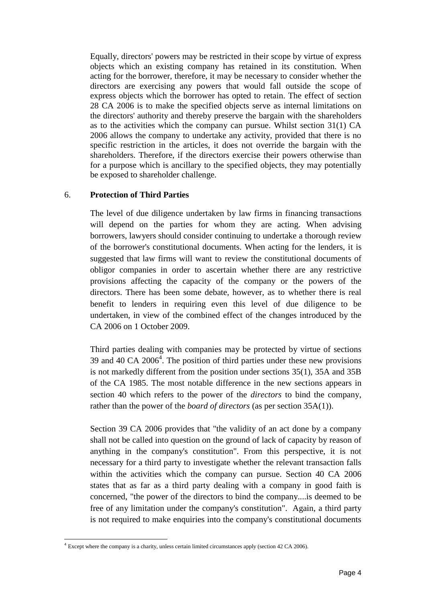Equally, directors' powers may be restricted in their scope by virtue of express objects which an existing company has retained in its constitution. When acting for the borrower, therefore, it may be necessary to consider whether the directors are exercising any powers that would fall outside the scope of express objects which the borrower has opted to retain. The effect of section 28 CA 2006 is to make the specified objects serve as internal limitations on the directors' authority and thereby preserve the bargain with the shareholders as to the activities which the company can pursue. Whilst section 31(1) CA 2006 allows the company to undertake any activity, provided that there is no specific restriction in the articles, it does not override the bargain with the shareholders. Therefore, if the directors exercise their powers otherwise than for a purpose which is ancillary to the specified objects, they may potentially be exposed to shareholder challenge.

# 6. **Protection of Third Parties**

The level of due diligence undertaken by law firms in financing transactions will depend on the parties for whom they are acting. When advising borrowers, lawyers should consider continuing to undertake a thorough review of the borrower's constitutional documents. When acting for the lenders, it is suggested that law firms will want to review the constitutional documents of obligor companies in order to ascertain whether there are any restrictive provisions affecting the capacity of the company or the powers of the directors. There has been some debate, however, as to whether there is real benefit to lenders in requiring even this level of due diligence to be undertaken, in view of the combined effect of the changes introduced by the CA 2006 on 1 October 2009.

Third parties dealing with companies may be protected by virtue of sections 39 and 40 CA  $2006<sup>4</sup>$ . The position of third parties under these new provisions is not markedly different from the position under sections 35(1), 35A and 35B of the CA 1985. The most notable difference in the new sections appears in section 40 which refers to the power of the *directors* to bind the company, rather than the power of the *board of directors* (as per section 35A(1)).

Section 39 CA 2006 provides that "the validity of an act done by a company shall not be called into question on the ground of lack of capacity by reason of anything in the company's constitution". From this perspective, it is not necessary for a third party to investigate whether the relevant transaction falls within the activities which the company can pursue. Section 40 CA 2006 states that as far as a third party dealing with a company in good faith is concerned, "the power of the directors to bind the company....is deemed to be free of any limitation under the company's constitution". Again, a third party is not required to make enquiries into the company's constitutional documents

 4 Except where the company is a charity, unless certain limited circumstances apply (section 42 CA 2006).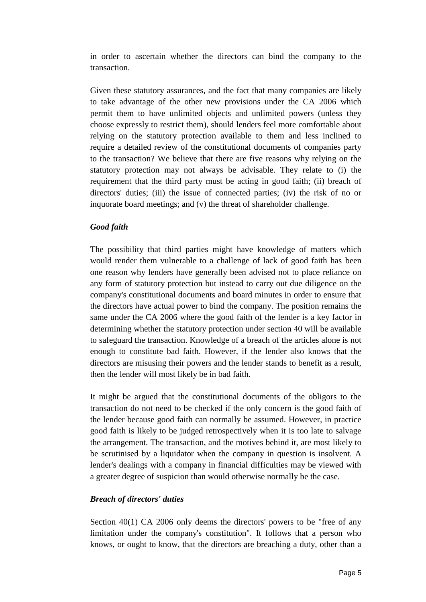in order to ascertain whether the directors can bind the company to the transaction.

Given these statutory assurances, and the fact that many companies are likely to take advantage of the other new provisions under the CA 2006 which permit them to have unlimited objects and unlimited powers (unless they choose expressly to restrict them), should lenders feel more comfortable about relying on the statutory protection available to them and less inclined to require a detailed review of the constitutional documents of companies party to the transaction? We believe that there are five reasons why relying on the statutory protection may not always be advisable. They relate to (i) the requirement that the third party must be acting in good faith; (ii) breach of directors' duties; (iii) the issue of connected parties; (iv) the risk of no or inquorate board meetings; and (v) the threat of shareholder challenge.

#### *Good faith*

The possibility that third parties might have knowledge of matters which would render them vulnerable to a challenge of lack of good faith has been one reason why lenders have generally been advised not to place reliance on any form of statutory protection but instead to carry out due diligence on the company's constitutional documents and board minutes in order to ensure that the directors have actual power to bind the company. The position remains the same under the CA 2006 where the good faith of the lender is a key factor in determining whether the statutory protection under section 40 will be available to safeguard the transaction. Knowledge of a breach of the articles alone is not enough to constitute bad faith. However, if the lender also knows that the directors are misusing their powers and the lender stands to benefit as a result, then the lender will most likely be in bad faith.

It might be argued that the constitutional documents of the obligors to the transaction do not need to be checked if the only concern is the good faith of the lender because good faith can normally be assumed. However, in practice good faith is likely to be judged retrospectively when it is too late to salvage the arrangement. The transaction, and the motives behind it, are most likely to be scrutinised by a liquidator when the company in question is insolvent. A lender's dealings with a company in financial difficulties may be viewed with a greater degree of suspicion than would otherwise normally be the case.

#### *Breach of directors' duties*

Section 40(1) CA 2006 only deems the directors' powers to be "free of any limitation under the company's constitution". It follows that a person who knows, or ought to know, that the directors are breaching a duty, other than a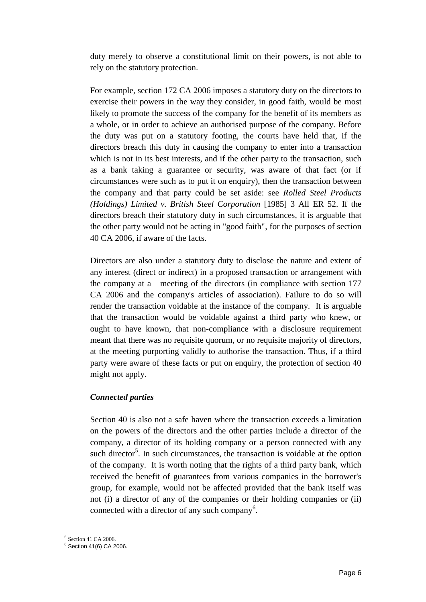duty merely to observe a constitutional limit on their powers, is not able to rely on the statutory protection.

For example, section 172 CA 2006 imposes a statutory duty on the directors to exercise their powers in the way they consider, in good faith, would be most likely to promote the success of the company for the benefit of its members as a whole, or in order to achieve an authorised purpose of the company. Before the duty was put on a statutory footing, the courts have held that, if the directors breach this duty in causing the company to enter into a transaction which is not in its best interests, and if the other party to the transaction, such as a bank taking a guarantee or security, was aware of that fact (or if circumstances were such as to put it on enquiry), then the transaction between the company and that party could be set aside: see *Rolled Steel Products (Holdings) Limited v. British Steel Corporation* [1985] 3 All ER 52. If the directors breach their statutory duty in such circumstances, it is arguable that the other party would not be acting in "good faith", for the purposes of section 40 CA 2006, if aware of the facts.

Directors are also under a statutory duty to disclose the nature and extent of any interest (direct or indirect) in a proposed transaction or arrangement with the company at a meeting of the directors (in compliance with section 177 CA 2006 and the company's articles of association). Failure to do so will render the transaction voidable at the instance of the company. It is arguable that the transaction would be voidable against a third party who knew, or ought to have known, that non-compliance with a disclosure requirement meant that there was no requisite quorum, or no requisite majority of directors, at the meeting purporting validly to authorise the transaction. Thus, if a third party were aware of these facts or put on enquiry, the protection of section 40 might not apply.

# *Connected parties*

Section 40 is also not a safe haven where the transaction exceeds a limitation on the powers of the directors and the other parties include a director of the company, a director of its holding company or a person connected with any such director<sup>5</sup>. In such circumstances, the transaction is voidable at the option of the company. It is worth noting that the rights of a third party bank, which received the benefit of guarantees from various companies in the borrower's group, for example, would not be affected provided that the bank itself was not (i) a director of any of the companies or their holding companies or (ii) connected with a director of any such company<sup>6</sup>.

 5 Section 41 CA 2006.

<sup>6</sup> Section 41(6) CA 2006.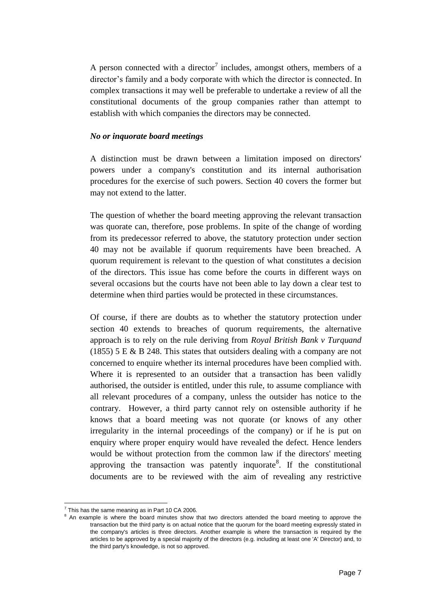A person connected with a director<sup>7</sup> includes, amongst others, members of a director's family and a body corporate with which the director is connected. In complex transactions it may well be preferable to undertake a review of all the constitutional documents of the group companies rather than attempt to establish with which companies the directors may be connected.

#### *No or inquorate board meetings*

A distinction must be drawn between a limitation imposed on directors' powers under a company's constitution and its internal authorisation procedures for the exercise of such powers. Section 40 covers the former but may not extend to the latter.

The question of whether the board meeting approving the relevant transaction was quorate can, therefore, pose problems. In spite of the change of wording from its predecessor referred to above, the statutory protection under section 40 may not be available if quorum requirements have been breached. A quorum requirement is relevant to the question of what constitutes a decision of the directors. This issue has come before the courts in different ways on several occasions but the courts have not been able to lay down a clear test to determine when third parties would be protected in these circumstances.

Of course, if there are doubts as to whether the statutory protection under section 40 extends to breaches of quorum requirements, the alternative approach is to rely on the rule deriving from *Royal British Bank v Turquand* (1855) 5 E & B 248. This states that outsiders dealing with a company are not concerned to enquire whether its internal procedures have been complied with. Where it is represented to an outsider that a transaction has been validly authorised, the outsider is entitled, under this rule, to assume compliance with all relevant procedures of a company, unless the outsider has notice to the contrary. However, a third party cannot rely on ostensible authority if he knows that a board meeting was not quorate (or knows of any other irregularity in the internal proceedings of the company) or if he is put on enquiry where proper enquiry would have revealed the defect. Hence lenders would be without protection from the common law if the directors' meeting approving the transaction was patently inquorate<sup>8</sup>. If the constitutional documents are to be reviewed with the aim of revealing any restrictive

1

 $7$  This has the same meaning as in Part 10 CA 2006.

<sup>&</sup>lt;sup>8</sup> An example is where the board minutes show that two directors attended the board meeting to approve the transaction but the third party is on actual notice that the quorum for the board meeting expressly stated in the company's articles is three directors. Another example is where the transaction is required by the articles to be approved by a special majority of the directors (e.g. including at least one 'A' Director) and, to the third party's knowledge, is not so approved.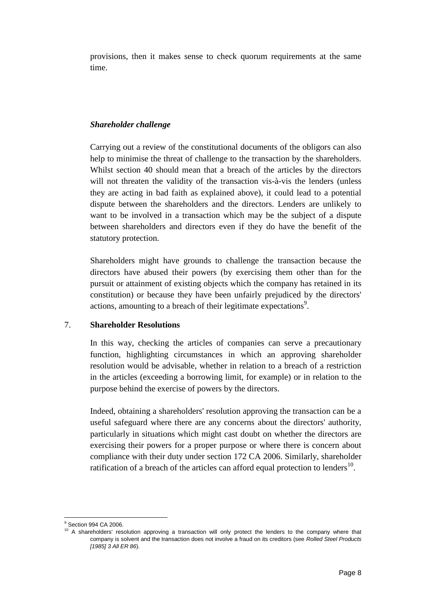provisions, then it makes sense to check quorum requirements at the same time.

# *Shareholder challenge*

Carrying out a review of the constitutional documents of the obligors can also help to minimise the threat of challenge to the transaction by the shareholders. Whilst section 40 should mean that a breach of the articles by the directors will not threaten the validity of the transaction vis-à-vis the lenders (unless they are acting in bad faith as explained above), it could lead to a potential dispute between the shareholders and the directors. Lenders are unlikely to want to be involved in a transaction which may be the subject of a dispute between shareholders and directors even if they do have the benefit of the statutory protection.

Shareholders might have grounds to challenge the transaction because the directors have abused their powers (by exercising them other than for the pursuit or attainment of existing objects which the company has retained in its constitution) or because they have been unfairly prejudiced by the directors' actions, amounting to a breach of their legitimate expectations<sup>9</sup>.

# 7. **Shareholder Resolutions**

In this way, checking the articles of companies can serve a precautionary function, highlighting circumstances in which an approving shareholder resolution would be advisable, whether in relation to a breach of a restriction in the articles (exceeding a borrowing limit, for example) or in relation to the purpose behind the exercise of powers by the directors.

Indeed, obtaining a shareholders' resolution approving the transaction can be a useful safeguard where there are any concerns about the directors' authority, particularly in situations which might cast doubt on whether the directors are exercising their powers for a proper purpose or where there is concern about compliance with their duty under section 172 CA 2006. Similarly, shareholder ratification of a breach of the articles can afford equal protection to lenders $^{10}$ .

 $\overline{a}$ <sup>9</sup> Section 994 CA 2006.

<sup>&</sup>lt;sup>10</sup> A shareholders' resolution approving a transaction will only protect the lenders to the company where that company is solvent and the transaction does not involve a fraud on its creditors (see *Rolled Steel Products [1985] 3 All ER 86*).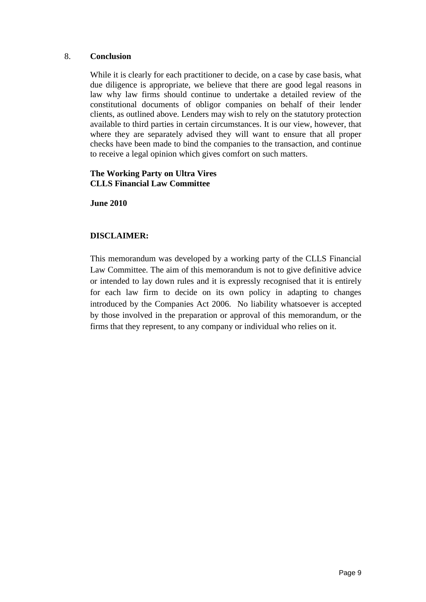## 8. **Conclusion**

While it is clearly for each practitioner to decide, on a case by case basis, what due diligence is appropriate, we believe that there are good legal reasons in law why law firms should continue to undertake a detailed review of the constitutional documents of obligor companies on behalf of their lender clients, as outlined above. Lenders may wish to rely on the statutory protection available to third parties in certain circumstances. It is our view, however, that where they are separately advised they will want to ensure that all proper checks have been made to bind the companies to the transaction, and continue to receive a legal opinion which gives comfort on such matters.

## **The Working Party on Ultra Vires CLLS Financial Law Committee**

**June 2010**

# **DISCLAIMER:**

This memorandum was developed by a working party of the CLLS Financial Law Committee. The aim of this memorandum is not to give definitive advice or intended to lay down rules and it is expressly recognised that it is entirely for each law firm to decide on its own policy in adapting to changes introduced by the Companies Act 2006. No liability whatsoever is accepted by those involved in the preparation or approval of this memorandum, or the firms that they represent, to any company or individual who relies on it.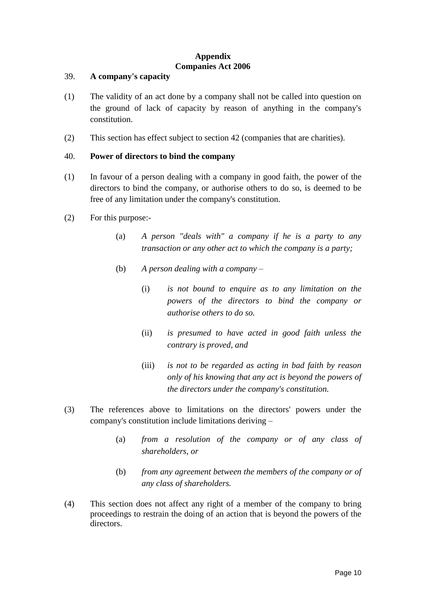#### **Appendix Companies Act 2006**

## 39. **A company's capacity**

- (1) The validity of an act done by a company shall not be called into question on the ground of lack of capacity by reason of anything in the company's constitution.
- (2) This section has effect subject to section 42 (companies that are charities).

## 40. **Power of directors to bind the company**

- (1) In favour of a person dealing with a company in good faith, the power of the directors to bind the company, or authorise others to do so, is deemed to be free of any limitation under the company's constitution.
- (2) For this purpose:-
	- (a) *A person "deals with" a company if he is a party to any transaction or any other act to which the company is a party;*
	- (b) *A person dealing with a company –*
		- (i) *is not bound to enquire as to any limitation on the powers of the directors to bind the company or authorise others to do so.*
		- (ii) *is presumed to have acted in good faith unless the contrary is proved, and*
		- (iii) *is not to be regarded as acting in bad faith by reason only of his knowing that any act is beyond the powers of the directors under the company's constitution.*
- (3) The references above to limitations on the directors' powers under the company's constitution include limitations deriving –
	- (a) *from a resolution of the company or of any class of shareholders, or*
	- (b) *from any agreement between the members of the company or of any class of shareholders.*
- (4) This section does not affect any right of a member of the company to bring proceedings to restrain the doing of an action that is beyond the powers of the directors.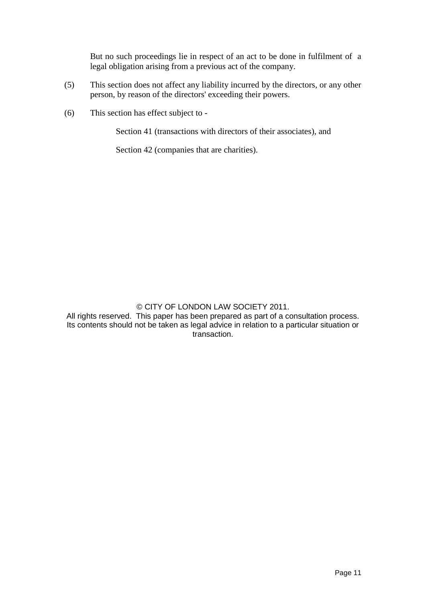But no such proceedings lie in respect of an act to be done in fulfilment of a legal obligation arising from a previous act of the company.

- (5) This section does not affect any liability incurred by the directors, or any other person, by reason of the directors' exceeding their powers.
- (6) This section has effect subject to -

Section 41 (transactions with directors of their associates), and

Section 42 (companies that are charities).

#### © CITY OF LONDON LAW SOCIETY 2011.

All rights reserved. This paper has been prepared as part of a consultation process. Its contents should not be taken as legal advice in relation to a particular situation or transaction.